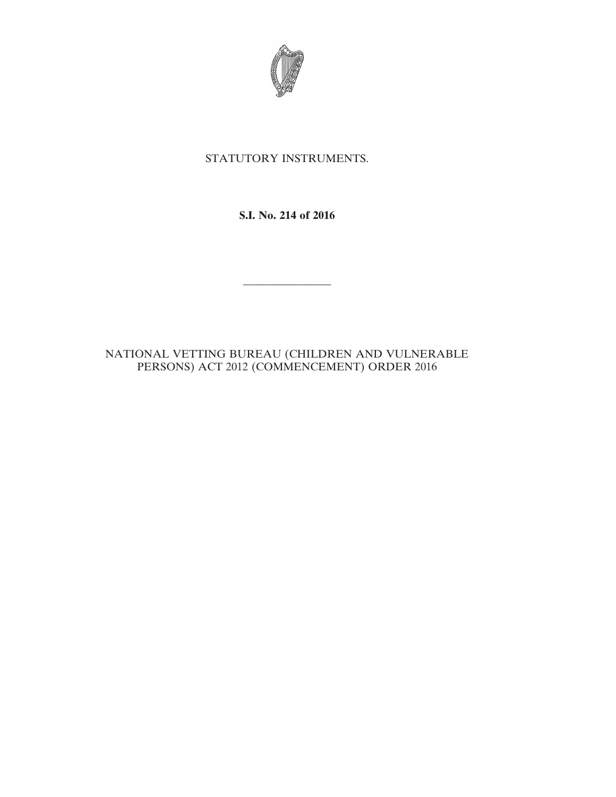

## STATUTORY INSTRUMENTS.

**S.I. No. 214 of 2016**

————————

## NATIONAL VETTING BUREAU (CHILDREN AND VULNERABLE PERSONS) ACT 2012 (COMMENCEMENT) ORDER 2016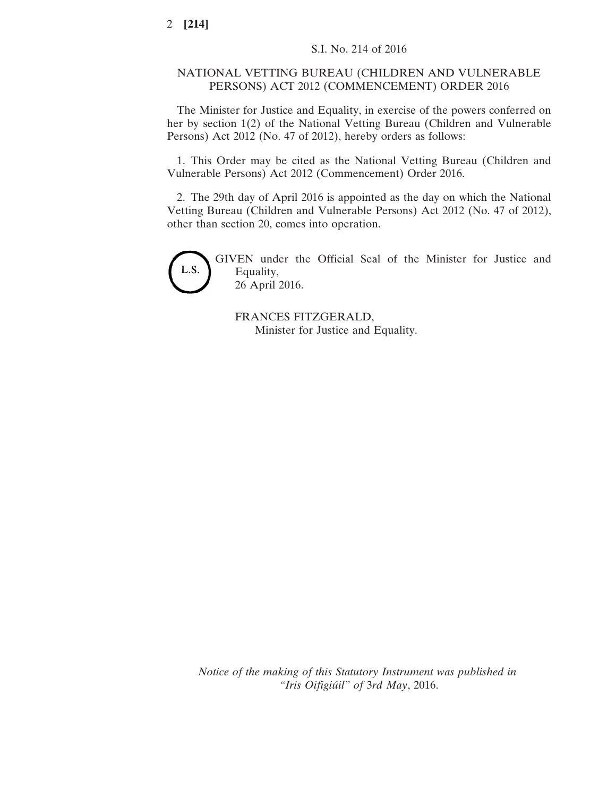## NATIONAL VETTING BUREAU (CHILDREN AND VULNERABLE PERSONS) ACT 2012 (COMMENCEMENT) ORDER 2016

The Minister for Justice and Equality, in exercise of the powers conferred on her by section 1(2) of the National Vetting Bureau (Children and Vulnerable Persons) Act 2012 (No. 47 of 2012), hereby orders as follows:

1. This Order may be cited as the National Vetting Bureau (Children and Vulnerable Persons) Act 2012 (Commencement) Order 2016.

2. The 29th day of April 2016 is appointed as the day on which the National Vetting Bureau (Children and Vulnerable Persons) Act 2012 (No. 47 of 2012), other than section 20, comes into operation.



GIVEN under the Official Seal of the Minister for Justice and Equality, 26 April 2016.

FRANCES FITZGERALD, Minister for Justice and Equality.

*Notice of the making of this Statutory Instrument was published in "Iris Oifigiúil" of* 3*rd May*, 2016.